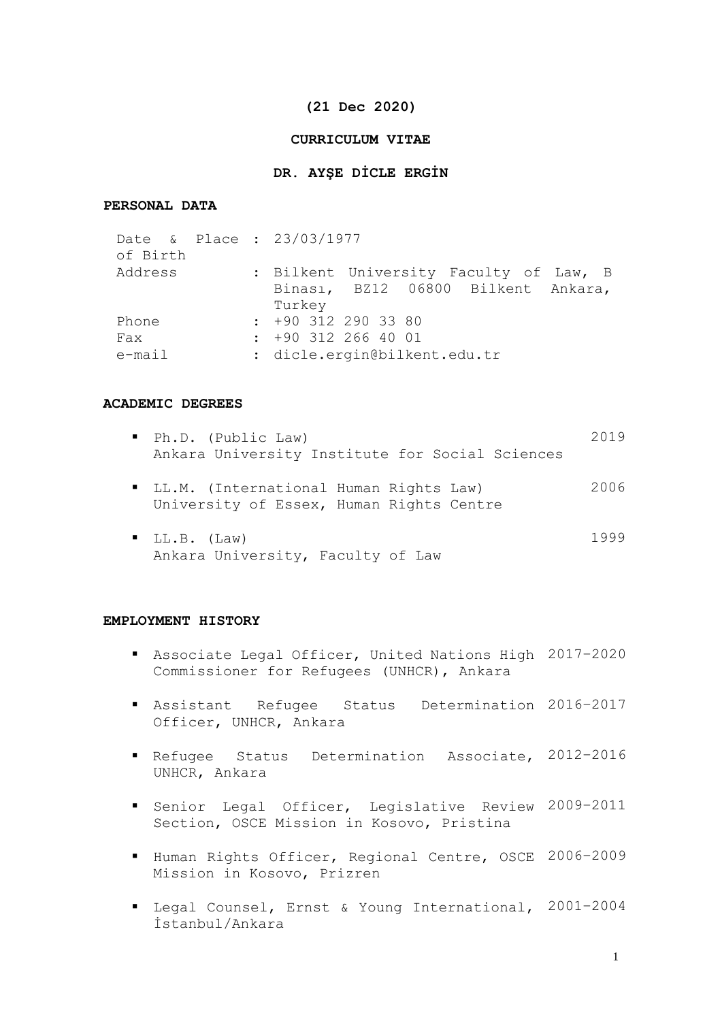### **(21 Dec 2020)**

### **CURRICULUM VITAE**

### **DR. AYŞE DİCLE ERGİN**

## **PERSONAL DATA**

| Date & Place : 23/03/1977<br>of Birth |                              |  |                       |  |  |  |  |  |  |                                        |  |
|---------------------------------------|------------------------------|--|-----------------------|--|--|--|--|--|--|----------------------------------------|--|
| Address                               |                              |  |                       |  |  |  |  |  |  | : Bilkent University Faculty of Law, B |  |
|                                       |                              |  |                       |  |  |  |  |  |  | Binası, BZ12 06800 Bilkent Ankara,     |  |
|                                       |                              |  | Turkey                |  |  |  |  |  |  |                                        |  |
| Phone                                 |                              |  | $: +90$ 312 290 33 80 |  |  |  |  |  |  |                                        |  |
| Fax                                   |                              |  | $: +90$ 312 266 40 01 |  |  |  |  |  |  |                                        |  |
| $e$ -mail                             | : dicle.ergin@bilkent.edu.tr |  |                       |  |  |  |  |  |  |                                        |  |

### **ACADEMIC DEGREES**

| Ph.D. (Public Law)<br>Ankara University Institute for Social Sciences                | 2019 |
|--------------------------------------------------------------------------------------|------|
| " LL.M. (International Human Rights Law)<br>University of Essex, Human Rights Centre | 2006 |
| $\blacksquare$ LL.B. (Law)<br>Ankara University, Faculty of Law                      | 1999 |

### **EMPLOYMENT HISTORY**

- Associate Legal Officer, United Nations High 2017–2020 Commissioner for Refugees (UNHCR), Ankara
- Assistant Refugee Status Determination 2016–2017 Officer, UNHCR, Ankara
- Refugee Status Determination Associate, 2012-2016 UNHCR, Ankara
- Senior Legal Officer, Legislative Review 2009-2011 Section, OSCE Mission in Kosovo, Pristina
- Human Rights Officer, Regional Centre, OSCE 2006-2009 Mission in Kosovo, Prizren
- Legal Counsel, Ernst & Young International, 2001–2004 İstanbul/Ankara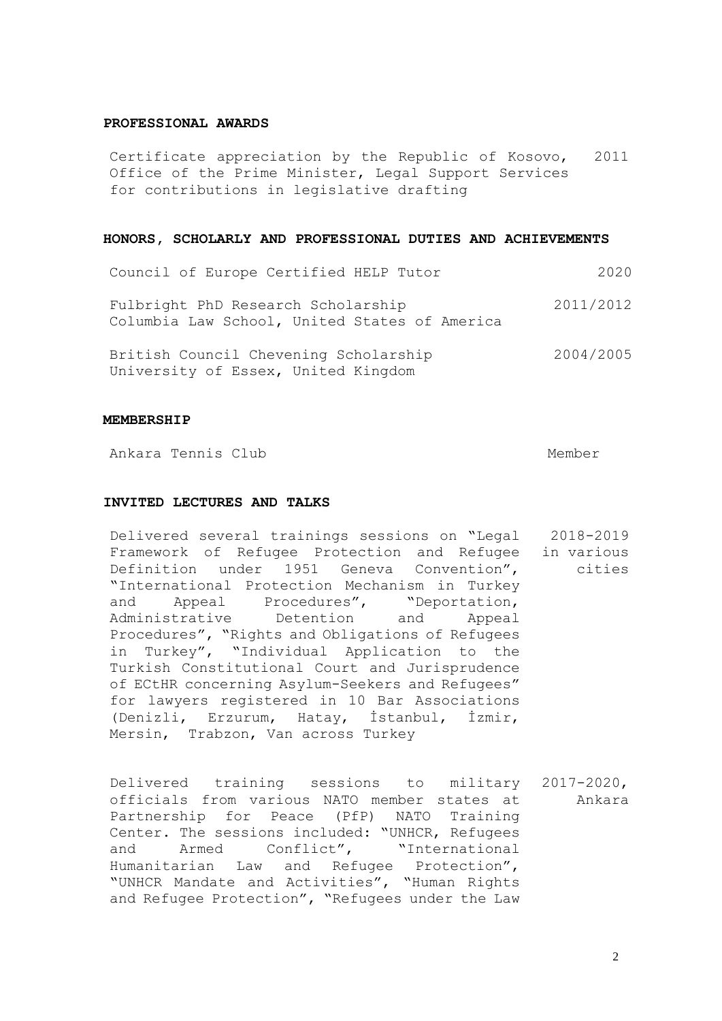#### **PROFESSIONAL AWARDS**

Certificate appreciation by the Republic of Kosovo, Office of the Prime Minister, Legal Support Services for contributions in legislative drafting 2011

#### **HONORS, SCHOLARLY AND PROFESSIONAL DUTIES AND ACHIEVEMENTS**

| Council of Europe Certified HELP Tutor                                              | 2020      |
|-------------------------------------------------------------------------------------|-----------|
| Fulbright PhD Research Scholarship<br>Columbia Law School, United States of America | 2011/2012 |
| British Council Chevening Scholarship<br>University of Essex, United Kingdom        | 2004/2005 |

#### **MEMBERSHIP**

Ankara Tennis Club **Member** Member

### **INVITED LECTURES AND TALKS**

Delivered several trainings sessions on "Legal 2018-2019 Framework of Refugee Protection and Refugee in various Definition under 1951 Geneva Convention", "International Protection Mechanism in Turkey and Appeal Procedures", "Deportation, Administrative Detention and Appeal Procedures", "Rights and Obligations of Refugees in Turkey", "Individual Application to the Turkish Constitutional Court and Jurisprudence of ECtHR concerning Asylum-Seekers and Refugees" for lawyers registered in 10 Bar Associations (Denizli, Erzurum, Hatay, İstanbul, İzmir, Mersin, Trabzon, Van across Turkey cities

Delivered training sessions to military 2017-2020, officials from various NATO member states at Partnership for Peace (PfP) NATO Training Center. The sessions included: "UNHCR, Refugees and Armed Conflict", "International Humanitarian Law and Refugee Protection", "UNHCR Mandate and Activities", "Human Rights and Refugee Protection", "Refugees under the Law Ankara